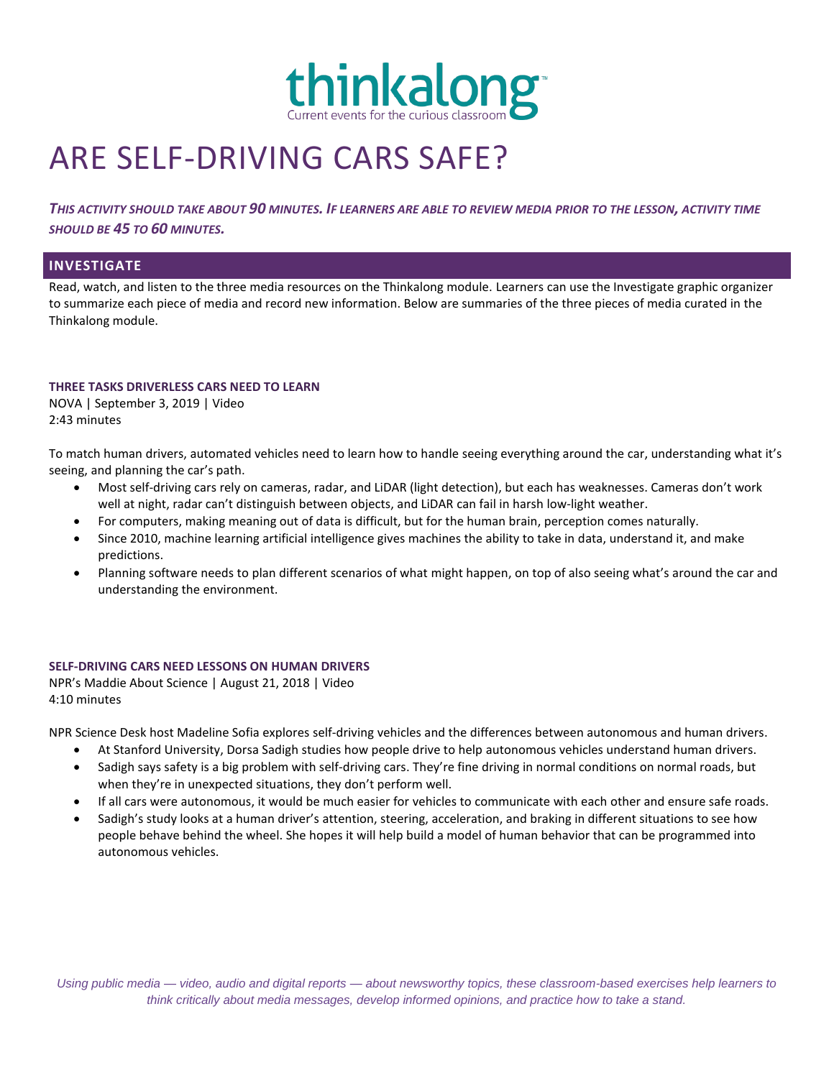

# ARE SELF-DRIVING CARS SAFE?

*THIS ACTIVITY SHOULD TAKE ABOUT 90 MINUTES. IF LEARNERS ARE ABLE TO REVIEW MEDIA PRIOR TO THE LESSON, ACTIVITY TIME SHOULD BE 45 TO 60 MINUTES.*

# **INVESTIGATE**

Read, watch, and listen to the three media resources on the Thinkalong module. Learners can use the Investigate graphic organizer to summarize each piece of media and record new information. Below are summaries of the three pieces of media curated in the Thinkalong module.

#### **THREE TASKS DRIVERLESS CARS NEED TO LEARN**

NOVA | September 3, 2019 | Video 2:43 minutes

To match human drivers, automated vehicles need to learn how to handle seeing everything around the car, understanding what it's seeing, and planning the car's path.

- Most self-driving cars rely on cameras, radar, and LiDAR (light detection), but each has weaknesses. Cameras don't work well at night, radar can't distinguish between objects, and LiDAR can fail in harsh low-light weather.
- For computers, making meaning out of data is difficult, but for the human brain, perception comes naturally.
- Since 2010, machine learning artificial intelligence gives machines the ability to take in data, understand it, and make predictions.
- Planning software needs to plan different scenarios of what might happen, on top of also seeing what's around the car and understanding the environment.

## **SELF-DRIVING CARS NEED LESSONS ON HUMAN DRIVERS**

NPR's Maddie About Science | August 21, 2018 | Video 4:10 minutes

NPR Science Desk host Madeline Sofia explores self-driving vehicles and the differences between autonomous and human drivers.

- At Stanford University, Dorsa Sadigh studies how people drive to help autonomous vehicles understand human drivers.
- Sadigh says safety is a big problem with self-driving cars. They're fine driving in normal conditions on normal roads, but when they're in unexpected situations, they don't perform well.
- If all cars were autonomous, it would be much easier for vehicles to communicate with each other and ensure safe roads.
- Sadigh's study looks at a human driver's attention, steering, acceleration, and braking in different situations to see how people behave behind the wheel. She hopes it will help build a model of human behavior that can be programmed into autonomous vehicles.